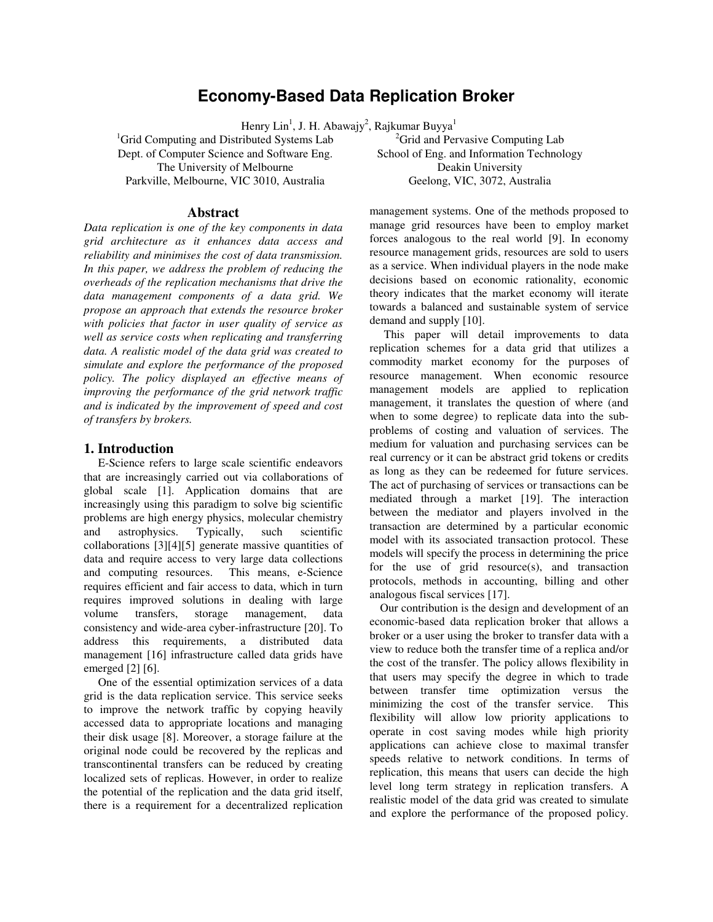# **Economy-Based Data Replication Broker**

Henry Lin<sup>1</sup>, J. H. Abawajy<sup>2</sup>, Rajkumar Buyya<sup>1</sup>

<sup>1</sup>Grid Computing and Distributed Systems Lab Dept. of Computer Science and Software Eng. The University of Melbourne Parkville, Melbourne, VIC 3010, Australia

**Abstract** 

*Data replication is one of the key components in data grid architecture as it enhances data access and reliability and minimises the cost of data transmission. In this paper, we address the problem of reducing the overheads of the replication mechanisms that drive the data management components of a data grid. We propose an approach that extends the resource broker with policies that factor in user quality of service as well as service costs when replicating and transferring data. A realistic model of the data grid was created to simulate and explore the performance of the proposed policy. The policy displayed an effective means of improving the performance of the grid network traffic and is indicated by the improvement of speed and cost of transfers by brokers.* 

# **1. Introduction**

E-Science refers to large scale scientific endeavors that are increasingly carried out via collaborations of global scale [1]. Application domains that are increasingly using this paradigm to solve big scientific problems are high energy physics, molecular chemistry<br>and astrophysics. Typically, such scientific and astrophysics. Typically, such scientific collaborations [3][4][5] generate massive quantities of data and require access to very large data collections and computing resources. This means, e-Science requires efficient and fair access to data, which in turn requires improved solutions in dealing with large volume transfers, storage management, data consistency and wide-area cyber-infrastructure [20]. To address this requirements, a distributed data management [16] infrastructure called data grids have emerged [2] [6].

One of the essential optimization services of a data grid is the data replication service. This service seeks to improve the network traffic by copying heavily accessed data to appropriate locations and managing their disk usage [8]. Moreover, a storage failure at the original node could be recovered by the replicas and transcontinental transfers can be reduced by creating localized sets of replicas. However, in order to realize the potential of the replication and the data grid itself, there is a requirement for a decentralized replication

<sup>2</sup>Grid and Pervasive Computing Lab School of Eng. and Information Technology Deakin University Geelong, VIC, 3072, Australia

management systems. One of the methods proposed to manage grid resources have been to employ market forces analogous to the real world [9]. In economy resource management grids, resources are sold to users as a service. When individual players in the node make decisions based on economic rationality, economic theory indicates that the market economy will iterate towards a balanced and sustainable system of service demand and supply [10].

This paper will detail improvements to data replication schemes for a data grid that utilizes a commodity market economy for the purposes of resource management. When economic resource management models are applied to replication management, it translates the question of where (and when to some degree) to replicate data into the subproblems of costing and valuation of services. The medium for valuation and purchasing services can be real currency or it can be abstract grid tokens or credits as long as they can be redeemed for future services. The act of purchasing of services or transactions can be mediated through a market [19]. The interaction between the mediator and players involved in the transaction are determined by a particular economic model with its associated transaction protocol. These models will specify the process in determining the price for the use of grid resource(s), and transaction protocols, methods in accounting, billing and other analogous fiscal services [17].

Our contribution is the design and development of an economic-based data replication broker that allows a broker or a user using the broker to transfer data with a view to reduce both the transfer time of a replica and/or the cost of the transfer. The policy allows flexibility in that users may specify the degree in which to trade between transfer time optimization versus the minimizing the cost of the transfer service. This flexibility will allow low priority applications to operate in cost saving modes while high priority applications can achieve close to maximal transfer speeds relative to network conditions. In terms of replication, this means that users can decide the high level long term strategy in replication transfers. A realistic model of the data grid was created to simulate and explore the performance of the proposed policy.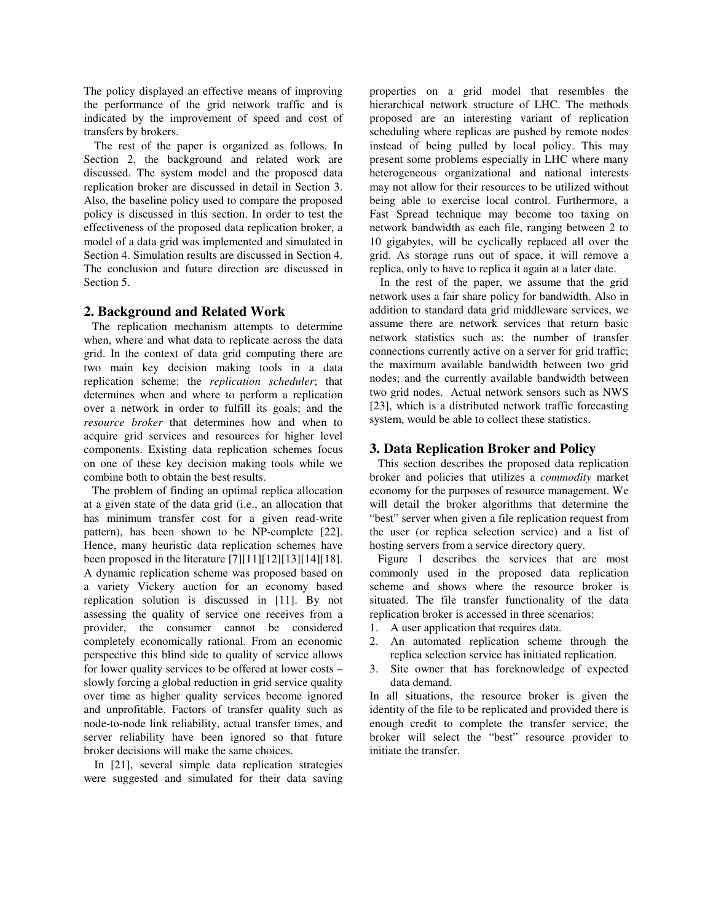The policy displayed an effective means of improving the performance of the grid network traffic and is indicated by the improvement of speed and cost of transfers by brokers.

The rest of the paper is organized as follows. In Section 2, the background and related work are discussed. The system model and the proposed data replication broker are discussed in detail in Section 3. Also, the baseline policy used to compare the proposed policy is discussed in this section. In order to test the effectiveness of the proposed data replication broker, a model of a data grid was implemented and simulated in Section 4. Simulation results are discussed in Section 4. The conclusion and future direction are discussed in Section 5.

# **2. Background and Related Work**

The replication mechanism attempts to determine when, where and what data to replicate across the data grid. In the context of data grid computing there are two main key decision making tools in a data replication scheme: the *replication scheduler*; that determines when and where to perform a replication over a network in order to fulfill its goals; and the *resource broker* that determines how and when to acquire grid services and resources for higher level components. Existing data replication schemes focus on one of these key decision making tools while we combine both to obtain the best results.

The problem of finding an optimal replica allocation at a given state of the data grid (i.e., an allocation that has minimum transfer cost for a given read-write pattern), has been shown to be NP-complete [22]. Hence, many heuristic data replication schemes have been proposed in the literature [7][11][12][13][14][18]. A dynamic replication scheme was proposed based on a variety Vickery auction for an economy based replication solution is discussed in [11]. By not assessing the quality of service one receives from a provider, the consumer cannot be considered completely economically rational. From an economic perspective this blind side to quality of service allows for lower quality services to be offered at lower costs – slowly forcing a global reduction in grid service quality over time as higher quality services become ignored and unprofitable. Factors of transfer quality such as node-to-node link reliability, actual transfer times, and server reliability have been ignored so that future broker decisions will make the same choices.

In [21], several simple data replication strategies were suggested and simulated for their data saving

properties on a grid model that resembles the hierarchical network structure of LHC. The methods proposed are an interesting variant of replication scheduling where replicas are pushed by remote nodes instead of being pulled by local policy. This may present some problems especially in LHC where many heterogeneous organizational and national interests may not allow for their resources to be utilized without being able to exercise local control. Furthermore, a Fast Spread technique may become too taxing on network bandwidth as each file, ranging between 2 to 10 gigabytes, will be cyclically replaced all over the grid. As storage runs out of space, it will remove a replica, only to have to replica it again at a later date.

In the rest of the paper, we assume that the grid network uses a fair share policy for bandwidth. Also in addition to standard data grid middleware services, we assume there are network services that return basic network statistics such as: the number of transfer connections currently active on a server for grid traffic; the maximum available bandwidth between two grid nodes; and the currently available bandwidth between two grid nodes. Actual network sensors such as NWS [23], which is a distributed network traffic forecasting system, would be able to collect these statistics.

# **3. Data Replication Broker and Policy**

This section describes the proposed data replication broker and policies that utilizes a *commodity* market economy for the purposes of resource management. We will detail the broker algorithms that determine the "best" server when given a file replication request from the user (or replica selection service) and a list of hosting servers from a service directory query.

Figure 1 describes the services that are most commonly used in the proposed data replication scheme and shows where the resource broker is situated. The file transfer functionality of the data replication broker is accessed in three scenarios:

- 1. A user application that requires data.
- 2. An automated replication scheme through the replica selection service has initiated replication.
- 3. Site owner that has foreknowledge of expected data demand.

In all situations, the resource broker is given the identity of the file to be replicated and provided there is enough credit to complete the transfer service, the broker will select the "best" resource provider to initiate the transfer.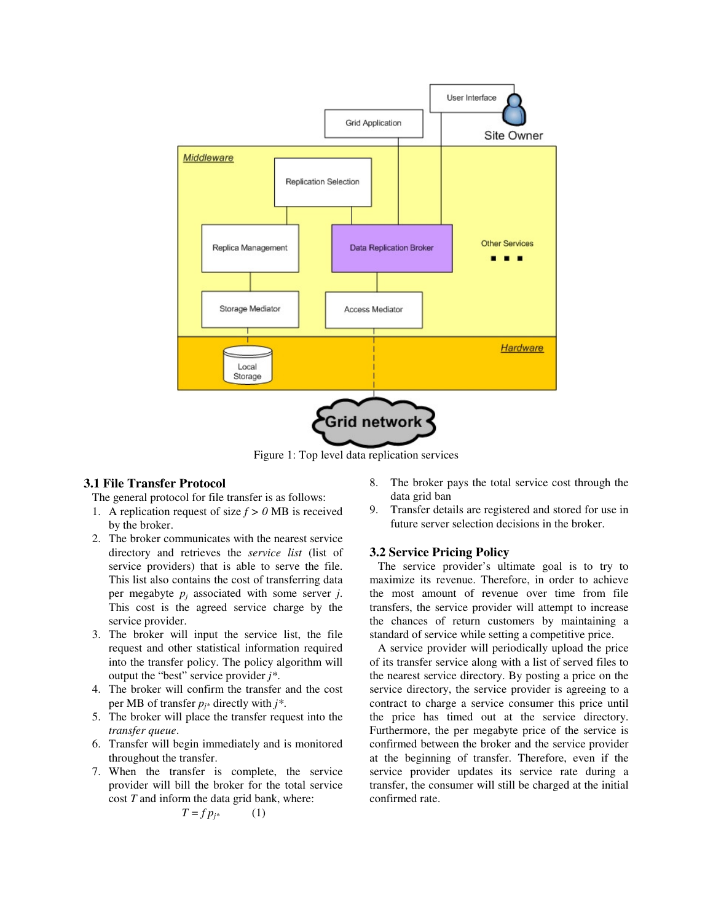

Figure 1: Top level data replication services

# **3.1 File Transfer Protocol**

The general protocol for file transfer is as follows:

- 1. A replication request of size  $f > 0$  MB is received by the broker.
- 2. The broker communicates with the nearest service directory and retrieves the *service list* (list of service providers) that is able to serve the file. This list also contains the cost of transferring data per megabyte *p<sup>j</sup>* associated with some server *j*. This cost is the agreed service charge by the service provider.
- 3. The broker will input the service list, the file request and other statistical information required into the transfer policy. The policy algorithm will output the "best" service provider *j\**.
- 4. The broker will confirm the transfer and the cost per MB of transfer *pj\** directly with *j\**.
- 5. The broker will place the transfer request into the *transfer queue*.
- 6. Transfer will begin immediately and is monitored throughout the transfer.
- 7. When the transfer is complete, the service provider will bill the broker for the total service cost *T* and inform the data grid bank, where:

$$
T = f p_{j^*} \tag{1}
$$

- 8. The broker pays the total service cost through the data grid ban
- 9. Transfer details are registered and stored for use in future server selection decisions in the broker.

#### **3.2 Service Pricing Policy**

The service provider's ultimate goal is to try to maximize its revenue. Therefore, in order to achieve the most amount of revenue over time from file transfers, the service provider will attempt to increase the chances of return customers by maintaining a standard of service while setting a competitive price.

A service provider will periodically upload the price of its transfer service along with a list of served files to the nearest service directory. By posting a price on the service directory, the service provider is agreeing to a contract to charge a service consumer this price until the price has timed out at the service directory. Furthermore, the per megabyte price of the service is confirmed between the broker and the service provider at the beginning of transfer. Therefore, even if the service provider updates its service rate during a transfer, the consumer will still be charged at the initial confirmed rate.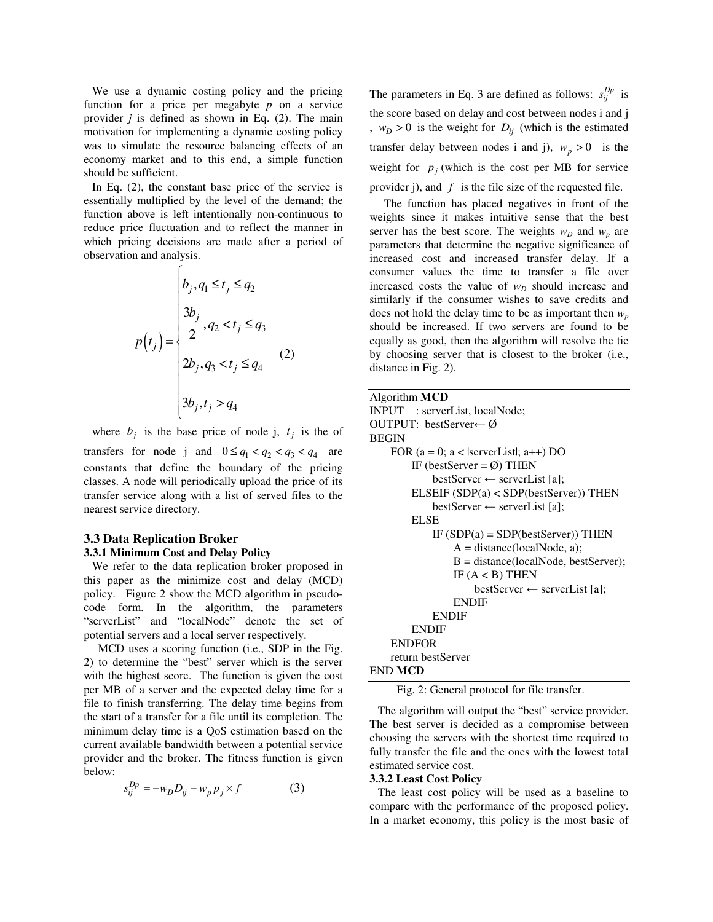We use a dynamic costing policy and the pricing function for a price per megabyte *p* on a service provider *j* is defined as shown in Eq. (2). The main motivation for implementing a dynamic costing policy was to simulate the resource balancing effects of an economy market and to this end, a simple function should be sufficient.

In Eq. (2), the constant base price of the service is essentially multiplied by the level of the demand; the function above is left intentionally non-continuous to reduce price fluctuation and to reflect the manner in which pricing decisions are made after a period of observation and analysis.

 $\sqrt{ }$ 

$$
p(t_j) = \begin{cases} b_j, q_1 \le t_j \le q_2 \\ \frac{3b_j}{2}, q_2 < t_j \le q_3 \\ 2b_j, q_3 < t_j \le q_4 \\ 3b_j, t_j > q_4 \end{cases} \tag{2}
$$

where  $b_j$  is the base price of node j,  $t_j$  is the of transfers for node j and  $0 \le q_1 < q_2 < q_3 < q_4$  are constants that define the boundary of the pricing classes. A node will periodically upload the price of its transfer service along with a list of served files to the nearest service directory.

# **3.3 Data Replication Broker 3.3.1 Minimum Cost and Delay Policy**

We refer to the data replication broker proposed in this paper as the minimize cost and delay (MCD) policy. Figure 2 show the MCD algorithm in pseudocode form. In the algorithm, the parameters "serverList" and "localNode" denote the set of potential servers and a local server respectively.

MCD uses a scoring function (i.e., SDP in the Fig. 2) to determine the "best" server which is the server with the highest score. The function is given the cost per MB of a server and the expected delay time for a file to finish transferring. The delay time begins from the start of a transfer for a file until its completion. The minimum delay time is a QoS estimation based on the current available bandwidth between a potential service provider and the broker. The fitness function is given below:

$$
s_{ij}^{Dp} = -w_D D_{ij} - w_p p_j \times f \tag{3}
$$

The parameters in Eq. 3 are defined as follows:  $s_{ij}^{Dp}$  is the score based on delay and cost between nodes i and j ,  $w_D > 0$  is the weight for  $D_{ij}$  (which is the estimated transfer delay between nodes i and j),  $w_p > 0$  is the weight for  $p_j$  (which is the cost per MB for service provider j), and *f* is the file size of the requested file.

The function has placed negatives in front of the weights since it makes intuitive sense that the best server has the best score. The weights  $w_D$  and  $w_p$  are parameters that determine the negative significance of increased cost and increased transfer delay. If a consumer values the time to transfer a file over increased costs the value of  $w<sub>D</sub>$  should increase and similarly if the consumer wishes to save credits and does not hold the delay time to be as important then *w<sup>p</sup>* should be increased. If two servers are found to be equally as good, then the algorithm will resolve the tie by choosing server that is closest to the broker (i.e., distance in Fig. 2).

#### Algorithm **MCD**

```
INPUT : serverList, localNode; 
OUTPUT: bestServer← Ø 
BEGIN 
    FOR (a = 0; a < |serverList|; a++) DO
        IF (bestServer = \emptyset) THEN
             bestServer \leftarrow serverList [a];
        ELSEIF (SDP(a) < SDP(bestServer)) THEN 
             bestServer \leftarrow serverList [a];
        ELSE 
             IF (SDP(a) = SDP(bestServer)) THEN
                  A = distance(localNode, a);B = distance(localNode, bestServer); 
                  IF (A < B) THEN
                      bestServer ← serverList [a]; 
                  ENDIF
             ENDIF 
        ENDIF 
    ENDFOR 
    return bestServer 
END MCD
```
Fig. 2: General protocol for file transfer.

The algorithm will output the "best" service provider. The best server is decided as a compromise between choosing the servers with the shortest time required to fully transfer the file and the ones with the lowest total estimated service cost.

#### **3.3.2 Least Cost Policy**

The least cost policy will be used as a baseline to compare with the performance of the proposed policy. In a market economy, this policy is the most basic of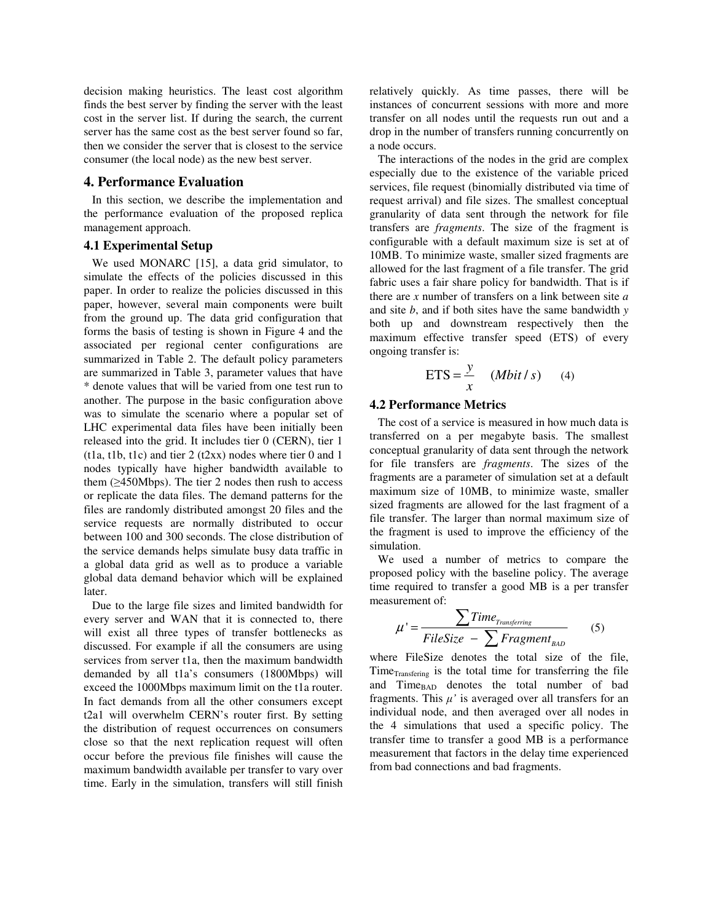decision making heuristics. The least cost algorithm finds the best server by finding the server with the least cost in the server list. If during the search, the current server has the same cost as the best server found so far, then we consider the server that is closest to the service consumer (the local node) as the new best server.

# **4. Performance Evaluation**

In this section, we describe the implementation and the performance evaluation of the proposed replica management approach.

## **4.1 Experimental Setup**

We used MONARC [15], a data grid simulator, to simulate the effects of the policies discussed in this paper. In order to realize the policies discussed in this paper, however, several main components were built from the ground up. The data grid configuration that forms the basis of testing is shown in Figure 4 and the associated per regional center configurations are summarized in Table 2. The default policy parameters are summarized in Table 3, parameter values that have \* denote values that will be varied from one test run to another. The purpose in the basic configuration above was to simulate the scenario where a popular set of LHC experimental data files have been initially been released into the grid. It includes tier 0 (CERN), tier 1 (t1a, t1b, t1c) and tier 2 (t2xx) nodes where tier 0 and 1 nodes typically have higher bandwidth available to them (≥450Mbps). The tier 2 nodes then rush to access or replicate the data files. The demand patterns for the files are randomly distributed amongst 20 files and the service requests are normally distributed to occur between 100 and 300 seconds. The close distribution of the service demands helps simulate busy data traffic in a global data grid as well as to produce a variable global data demand behavior which will be explained later.

Due to the large file sizes and limited bandwidth for every server and WAN that it is connected to, there will exist all three types of transfer bottlenecks as discussed. For example if all the consumers are using services from server t1a, then the maximum bandwidth demanded by all t1a's consumers (1800Mbps) will exceed the 1000Mbps maximum limit on the t1a router. In fact demands from all the other consumers except t2a1 will overwhelm CERN's router first. By setting the distribution of request occurrences on consumers close so that the next replication request will often occur before the previous file finishes will cause the maximum bandwidth available per transfer to vary over time. Early in the simulation, transfers will still finish

relatively quickly. As time passes, there will be instances of concurrent sessions with more and more transfer on all nodes until the requests run out and a drop in the number of transfers running concurrently on a node occurs.

The interactions of the nodes in the grid are complex especially due to the existence of the variable priced services, file request (binomially distributed via time of request arrival) and file sizes. The smallest conceptual granularity of data sent through the network for file transfers are *fragments*. The size of the fragment is configurable with a default maximum size is set at of 10MB. To minimize waste, smaller sized fragments are allowed for the last fragment of a file transfer. The grid fabric uses a fair share policy for bandwidth. That is if there are *x* number of transfers on a link between site *a* and site *b*, and if both sites have the same bandwidth *y* both up and downstream respectively then the maximum effective transfer speed (ETS) of every ongoing transfer is:

$$
ETS = \frac{y}{x} \quad (Mbit/s) \quad (4)
$$

## **4.2 Performance Metrics**

The cost of a service is measured in how much data is transferred on a per megabyte basis. The smallest conceptual granularity of data sent through the network for file transfers are *fragments*. The sizes of the fragments are a parameter of simulation set at a default maximum size of 10MB, to minimize waste, smaller sized fragments are allowed for the last fragment of a file transfer. The larger than normal maximum size of the fragment is used to improve the efficiency of the simulation.

We used a number of metrics to compare the proposed policy with the baseline policy. The average time required to transfer a good MB is a per transfer measurement of:

$$
\mu' = \frac{\sum Time_{transferring}}{FileSize - \sum Fragment_{BAD}} \tag{5}
$$

where FileSize denotes the total size of the file,  $Time_{Transfering}$  is the total time for transferring the file and TimeBAD denotes the total number of bad fragments. This  $\mu'$  is averaged over all transfers for an individual node, and then averaged over all nodes in the 4 simulations that used a specific policy. The transfer time to transfer a good MB is a performance measurement that factors in the delay time experienced from bad connections and bad fragments.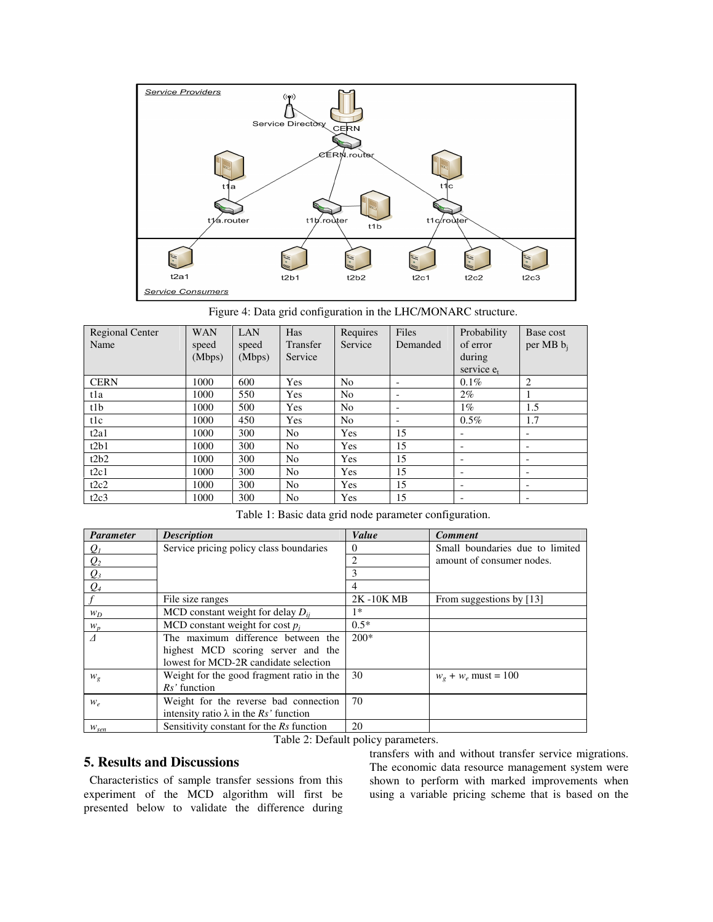

Figure 4: Data grid configuration in the LHC/MONARC structure.

| <b>Regional Center</b><br>Name | <b>WAN</b><br>speed<br>(Mbps) | LAN<br>speed<br>(Mbps) | Has<br>Transfer<br>Service | Requires<br>Service | <b>Files</b><br>Demanded | Probability<br>of error<br>during<br>service $e_t$ | Base cost<br>per MB $b_i$ |
|--------------------------------|-------------------------------|------------------------|----------------------------|---------------------|--------------------------|----------------------------------------------------|---------------------------|
| <b>CERN</b>                    | 1000                          | 600                    | Yes                        | N <sub>o</sub>      |                          | $0.1\%$                                            | 2                         |
| tla                            | 1000                          | 550                    | Yes                        | N <sub>o</sub>      |                          | $2\%$                                              | Ι.                        |
| t1b                            | 1000                          | 500                    | Yes                        | N <sub>o</sub>      | $\overline{\phantom{0}}$ | $1\%$                                              | 1.5                       |
| tlc                            | 1000                          | 450                    | Yes                        | N <sub>o</sub>      | $\overline{\phantom{0}}$ | $0.5\%$                                            | 1.7                       |
| t2a1                           | 1000                          | 300                    | N <sub>o</sub>             | Yes                 | 15                       | $\overline{\phantom{a}}$                           | $\overline{\phantom{a}}$  |
| t2b1                           | 1000                          | 300                    | No                         | Yes                 | 15                       | $\overline{\phantom{a}}$                           | $\overline{\phantom{a}}$  |
| t2b2                           | 1000                          | 300                    | N <sub>0</sub>             | Yes                 | 15                       | $\overline{\phantom{a}}$                           | $\overline{\phantom{a}}$  |
| t2c1                           | 1000                          | 300                    | N <sub>o</sub>             | Yes                 | 15                       | $\overline{\phantom{a}}$                           | $\overline{\phantom{a}}$  |
| t2c2                           | 1000                          | 300                    | N <sub>o</sub>             | Yes                 | 15                       | $\overline{\phantom{a}}$                           | $\overline{\phantom{a}}$  |
| t2c3                           | 1000                          | 300                    | N <sub>0</sub>             | Yes                 | 15                       | $\overline{\phantom{a}}$                           | $\overline{\phantom{a}}$  |

Table 1: Basic data grid node parameter configuration.

| <b>Parameter</b>                  | <b>Description</b>                            | Value     | <b>Comment</b>                  |
|-----------------------------------|-----------------------------------------------|-----------|---------------------------------|
| $\varrho_{\scriptscriptstyle{I}}$ | Service pricing policy class boundaries       | $\Omega$  | Small boundaries due to limited |
| $\mathcal{Q}_2$                   |                                               | 2         | amount of consumer nodes.       |
| $\mathcal{Q}_3$                   |                                               | 3         |                                 |
| $Q_4$                             |                                               | 4         |                                 |
|                                   | File size ranges                              | 2K-10K MB | From suggestions by [13]        |
| $W_D$                             | MCD constant weight for delay $D_{ii}$        | $1*$      |                                 |
| $W_D$                             | MCD constant weight for cost $p_i$            | $0.5*$    |                                 |
|                                   | The maximum difference between the            | $200*$    |                                 |
|                                   | highest MCD scoring server and the            |           |                                 |
|                                   | lowest for MCD-2R candidate selection         |           |                                 |
| $W_g$                             | Weight for the good fragment ratio in the     | 30        | $w_g + w_e \text{ must} = 100$  |
|                                   | Rs' function                                  |           |                                 |
| $W_e$                             | Weight for the reverse bad connection         | 70        |                                 |
|                                   | intensity ratio $\lambda$ in the Rs' function |           |                                 |
| $W_{sen}$                         | Sensitivity constant for the Rs function      | 20        |                                 |

Table 2: Default policy parameters.

# **5. Results and Discussions**

 Characteristics of sample transfer sessions from this experiment of the MCD algorithm will first be presented below to validate the difference during transfers with and without transfer service migrations. The economic data resource management system were shown to perform with marked improvements when using a variable pricing scheme that is based on the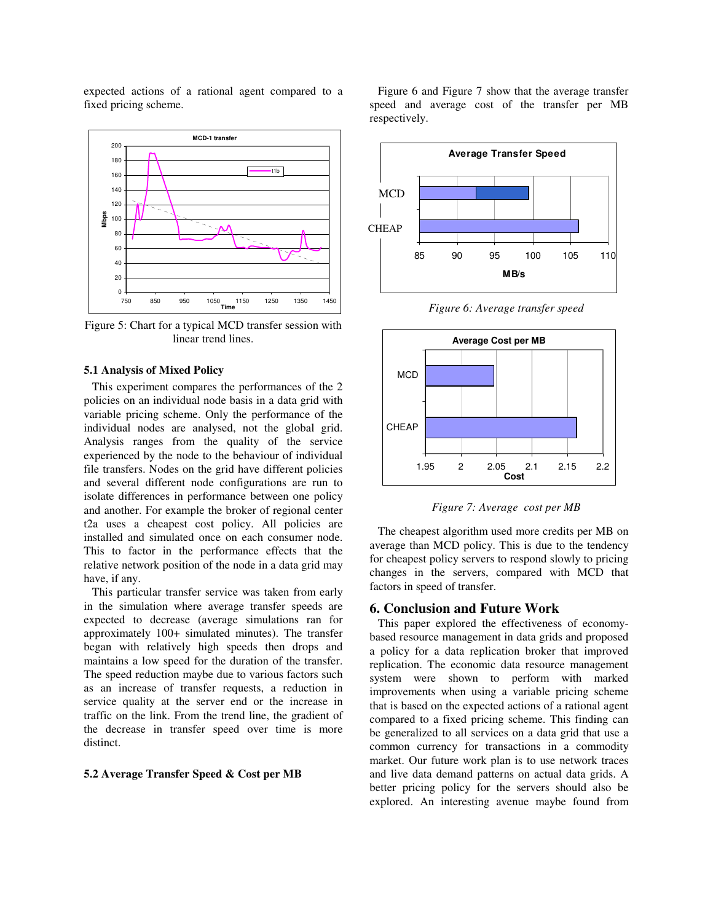expected actions of a rational agent compared to a fixed pricing scheme.



Figure 5: Chart for a typical MCD transfer session with linear trend lines.

#### **5.1 Analysis of Mixed Policy**

This experiment compares the performances of the 2 policies on an individual node basis in a data grid with variable pricing scheme. Only the performance of the individual nodes are analysed, not the global grid. Analysis ranges from the quality of the service experienced by the node to the behaviour of individual file transfers. Nodes on the grid have different policies and several different node configurations are run to isolate differences in performance between one policy and another. For example the broker of regional center t2a uses a cheapest cost policy. All policies are installed and simulated once on each consumer node. This to factor in the performance effects that the relative network position of the node in a data grid may have, if any.

This particular transfer service was taken from early in the simulation where average transfer speeds are expected to decrease (average simulations ran for approximately 100+ simulated minutes). The transfer began with relatively high speeds then drops and maintains a low speed for the duration of the transfer. The speed reduction maybe due to various factors such as an increase of transfer requests, a reduction in service quality at the server end or the increase in traffic on the link. From the trend line, the gradient of the decrease in transfer speed over time is more distinct.

#### **5.2 Average Transfer Speed & Cost per MB**

Figure 6 and Figure 7 show that the average transfer speed and average cost of the transfer per MB respectively.



*Figure 6: Average transfer speed* 



*Figure 7: Average cost per MB* 

The cheapest algorithm used more credits per MB on average than MCD policy. This is due to the tendency for cheapest policy servers to respond slowly to pricing changes in the servers, compared with MCD that factors in speed of transfer.

# **6. Conclusion and Future Work**

This paper explored the effectiveness of economybased resource management in data grids and proposed a policy for a data replication broker that improved replication. The economic data resource management system were shown to perform with marked improvements when using a variable pricing scheme that is based on the expected actions of a rational agent compared to a fixed pricing scheme. This finding can be generalized to all services on a data grid that use a common currency for transactions in a commodity market. Our future work plan is to use network traces and live data demand patterns on actual data grids. A better pricing policy for the servers should also be explored. An interesting avenue maybe found from